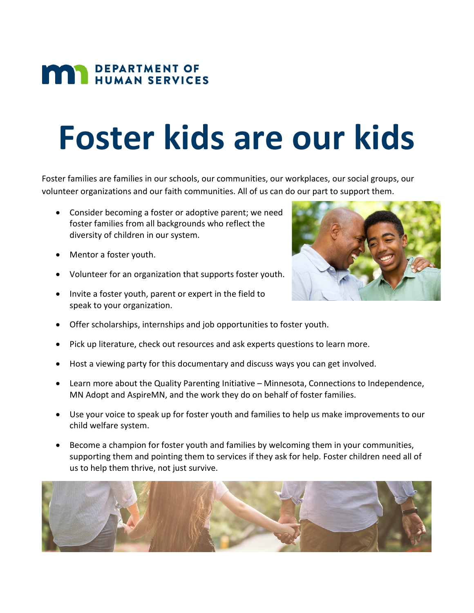## **MAN DEPARTMENT OF HUMAN SERVICES**

## **Foster kids are our kids**

Foster families are families in our schools, our communities, our workplaces, our social groups, our volunteer organizations and our faith communities. All of us can do our part to support them.

- Consider becoming a foster or adoptive parent; we need foster families from all backgrounds who reflect the diversity of children in our system.
- Mentor a foster youth.
- Volunteer for an organization that supports foster youth.
- Invite a foster youth, parent or expert in the field to speak to your organization.



- Offer scholarships, internships and job opportunities to foster youth.
- Pick up literature, check out resources and ask experts questions to learn more.
- Host a viewing party for this documentary and discuss ways you can get involved.
- Learn more about the Quality Parenting Initiative Minnesota, Connections to Independence, MN Adopt and AspireMN, and the work they do on behalf of foster families.
- Use your voice to speak up for foster youth and families to help us make improvements to our child welfare system.
- Become a champion for foster youth and families by welcoming them in your communities, supporting them and pointing them to services if they ask for help. Foster children need all of us to help them thrive, not just survive.